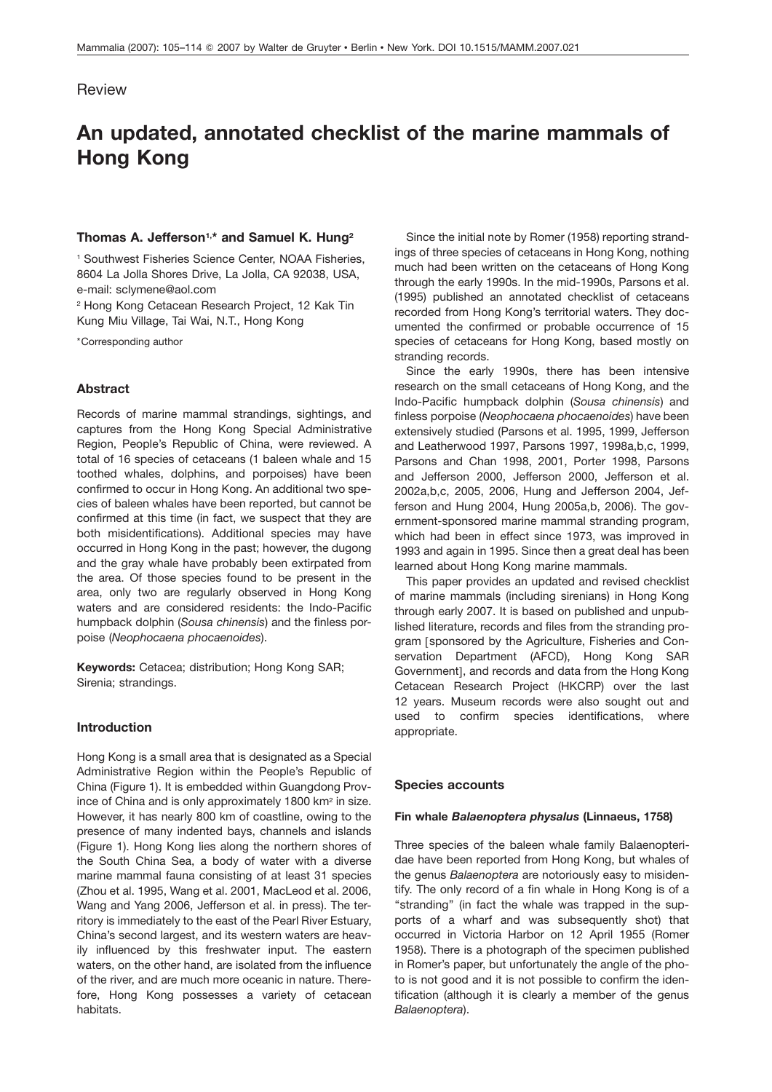# Review

# **An updated, annotated checklist of the marine mammals of Hong Kong**

# **Thomas A. Jefferson1,\* and Samuel K. Hung2**

<sup>1</sup> Southwest Fisheries Science Center, NOAA Fisheries, 8604 La Jolla Shores Drive, La Jolla, CA 92038, USA, e-mail: sclymene@aol.com

<sup>2</sup> Hong Kong Cetacean Research Project, 12 Kak Tin Kung Miu Village, Tai Wai, N.T., Hong Kong

\*Corresponding author

# **Abstract**

Records of marine mammal strandings, sightings, and captures from the Hong Kong Special Administrative Region, People's Republic of China, were reviewed. A total of 16 species of cetaceans (1 baleen whale and 15 toothed whales, dolphins, and porpoises) have been confirmed to occur in Hong Kong. An additional two species of baleen whales have been reported, but cannot be confirmed at this time (in fact, we suspect that they are both misidentifications). Additional species may have occurred in Hong Kong in the past; however, the dugong and the gray whale have probably been extirpated from the area. Of those species found to be present in the area, only two are regularly observed in Hong Kong waters and are considered residents: the Indo-Pacific humpback dolphin (*Sousa chinensis*) and the finless porpoise (*Neophocaena phocaenoides*).

**Keywords:** Cetacea; distribution; Hong Kong SAR; Sirenia; strandings.

## **Introduction**

Hong Kong is a small area that is designated as a Special Administrative Region within the People's Republic of China (Figure 1). It is embedded within Guangdong Province of China and is only approximately 1800 km<sup>2</sup> in size. However, it has nearly 800 km of coastline, owing to the presence of many indented bays, channels and islands (Figure 1). Hong Kong lies along the northern shores of the South China Sea, a body of water with a diverse marine mammal fauna consisting of at least 31 species (Zhou et al. 1995, Wang et al. 2001, MacLeod et al. 2006, Wang and Yang 2006, Jefferson et al. in press). The territory is immediately to the east of the Pearl River Estuary, China's second largest, and its western waters are heavily influenced by this freshwater input. The eastern waters, on the other hand, are isolated from the influence of the river, and are much more oceanic in nature. Therefore, Hong Kong possesses a variety of cetacean habitats.

Since the initial note by Romer (1958) reporting strandings of three species of cetaceans in Hong Kong, nothing much had been written on the cetaceans of Hong Kong through the early 1990s. In the mid-1990s, Parsons et al. (1995) published an annotated checklist of cetaceans recorded from Hong Kong's territorial waters. They documented the confirmed or probable occurrence of 15 species of cetaceans for Hong Kong, based mostly on stranding records.

Since the early 1990s, there has been intensive research on the small cetaceans of Hong Kong, and the Indo-Pacific humpback dolphin (*Sousa chinensis*) and finless porpoise (*Neophocaena phocaenoides*) have been extensively studied (Parsons et al. 1995, 1999, Jefferson and Leatherwood 1997, Parsons 1997, 1998a,b,c, 1999, Parsons and Chan 1998, 2001, Porter 1998, Parsons and Jefferson 2000, Jefferson 2000, Jefferson et al. 2002a,b,c, 2005, 2006, Hung and Jefferson 2004, Jefferson and Hung 2004, Hung 2005a,b, 2006). The government-sponsored marine mammal stranding program, which had been in effect since 1973, was improved in 1993 and again in 1995. Since then a great deal has been learned about Hong Kong marine mammals.

This paper provides an updated and revised checklist of marine mammals (including sirenians) in Hong Kong through early 2007. It is based on published and unpublished literature, records and files from the stranding program [sponsored by the Agriculture, Fisheries and Conservation Department (AFCD), Hong Kong SAR Government], and records and data from the Hong Kong Cetacean Research Project (HKCRP) over the last 12 years. Museum records were also sought out and used to confirm species identifications, where appropriate.

#### **Species accounts**

#### **Fin whale** *Balaenoptera physalus* **(Linnaeus, 1758)**

Three species of the baleen whale family Balaenopteridae have been reported from Hong Kong, but whales of the genus *Balaenoptera* are notoriously easy to misidentify. The only record of a fin whale in Hong Kong is of a ''stranding'' (in fact the whale was trapped in the supports of a wharf and was subsequently shot) that occurred in Victoria Harbor on 12 April 1955 (Romer 1958). There is a photograph of the specimen published in Romer's paper, but unfortunately the angle of the photo is not good and it is not possible to confirm the identification (although it is clearly a member of the genus *Balaenoptera*).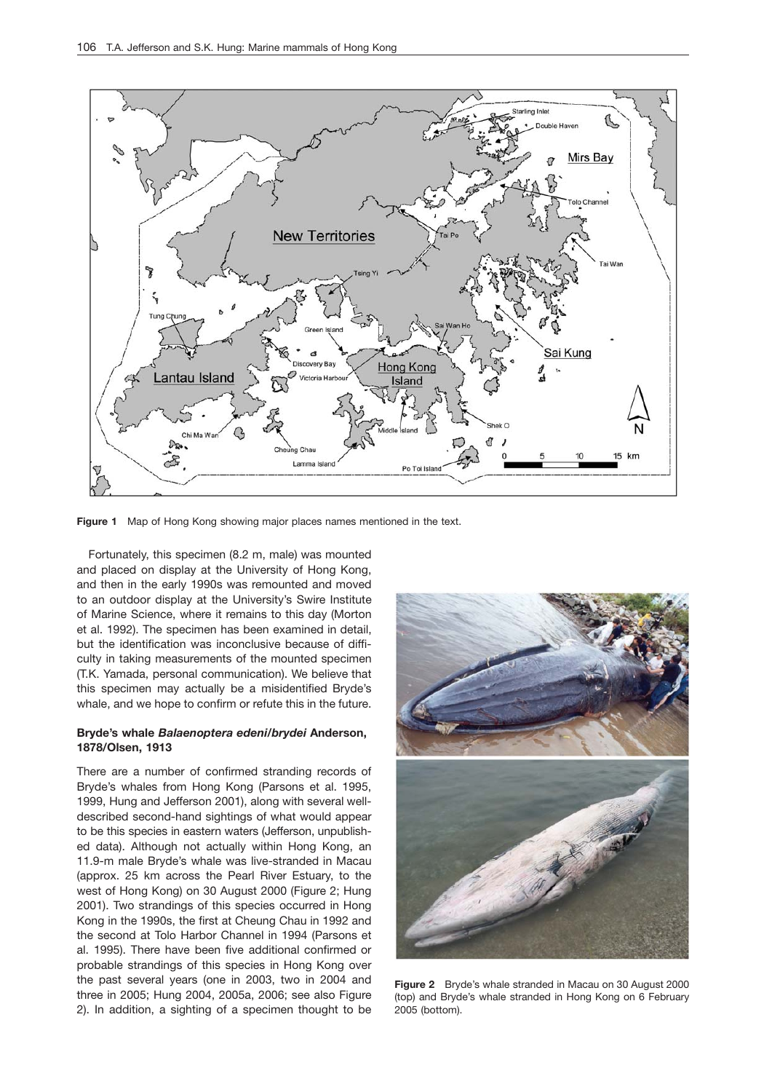

**Figure 1** Map of Hong Kong showing major places names mentioned in the text.

Fortunately, this specimen (8.2 m, male) was mounted and placed on display at the University of Hong Kong, and then in the early 1990s was remounted and moved to an outdoor display at the University's Swire Institute of Marine Science, where it remains to this day (Morton et al. 1992). The specimen has been examined in detail, but the identification was inconclusive because of difficulty in taking measurements of the mounted specimen (T.K. Yamada, personal communication). We believe that this specimen may actually be a misidentified Bryde's whale, and we hope to confirm or refute this in the future.

# **Bryde's whale** *Balaenoptera edeni/brydei* **Anderson, 1878/Olsen, 1913**

There are a number of confirmed stranding records of Bryde's whales from Hong Kong (Parsons et al. 1995, 1999, Hung and Jefferson 2001), along with several welldescribed second-hand sightings of what would appear to be this species in eastern waters (Jefferson, unpublished data). Although not actually within Hong Kong, an 11.9-m male Bryde's whale was live-stranded in Macau (approx. 25 km across the Pearl River Estuary, to the west of Hong Kong) on 30 August 2000 (Figure 2; Hung 2001). Two strandings of this species occurred in Hong Kong in the 1990s, the first at Cheung Chau in 1992 and the second at Tolo Harbor Channel in 1994 (Parsons et al. 1995). There have been five additional confirmed or probable strandings of this species in Hong Kong over the past several years (one in 2003, two in 2004 and three in 2005; Hung 2004, 2005a, 2006; see also Figure 2). In addition, a sighting of a specimen thought to be



**Figure 2** Bryde's whale stranded in Macau on 30 August 2000 (top) and Bryde's whale stranded in Hong Kong on 6 February 2005 (bottom).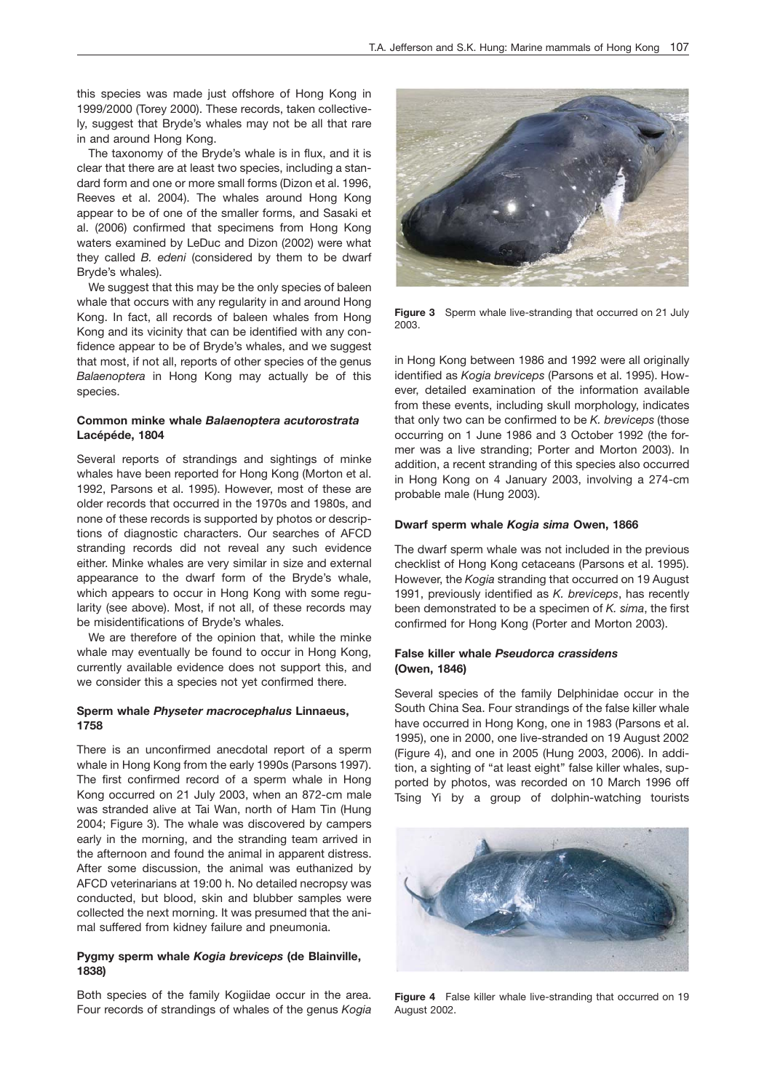this species was made just offshore of Hong Kong in 1999/2000 (Torey 2000). These records, taken collectively, suggest that Bryde's whales may not be all that rare in and around Hong Kong.

The taxonomy of the Bryde's whale is in flux, and it is clear that there are at least two species, including a standard form and one or more small forms (Dizon et al. 1996, Reeves et al. 2004). The whales around Hong Kong appear to be of one of the smaller forms, and Sasaki et al. (2006) confirmed that specimens from Hong Kong waters examined by LeDuc and Dizon (2002) were what they called *B. edeni* (considered by them to be dwarf Bryde's whales).

We suggest that this may be the only species of baleen whale that occurs with any regularity in and around Hong Kong. In fact, all records of baleen whales from Hong Kong and its vicinity that can be identified with any confidence appear to be of Bryde's whales, and we suggest that most, if not all, reports of other species of the genus *Balaenoptera* in Hong Kong may actually be of this species.

#### **Common minke whale** *Balaenoptera acutorostrata* Lacépéde, 1804

Several reports of strandings and sightings of minke whales have been reported for Hong Kong (Morton et al. 1992, Parsons et al. 1995). However, most of these are older records that occurred in the 1970s and 1980s, and none of these records is supported by photos or descriptions of diagnostic characters. Our searches of AFCD stranding records did not reveal any such evidence either. Minke whales are very similar in size and external appearance to the dwarf form of the Bryde's whale, which appears to occur in Hong Kong with some regularity (see above). Most, if not all, of these records may be misidentifications of Bryde's whales.

We are therefore of the opinion that, while the minke whale may eventually be found to occur in Hong Kong, currently available evidence does not support this, and we consider this a species not yet confirmed there.

## **Sperm whale** *Physeter macrocephalus* **Linnaeus, 1758**

There is an unconfirmed anecdotal report of a sperm whale in Hong Kong from the early 1990s (Parsons 1997). The first confirmed record of a sperm whale in Hong Kong occurred on 21 July 2003, when an 872-cm male was stranded alive at Tai Wan, north of Ham Tin (Hung 2004; Figure 3). The whale was discovered by campers early in the morning, and the stranding team arrived in the afternoon and found the animal in apparent distress. After some discussion, the animal was euthanized by AFCD veterinarians at 19:00 h. No detailed necropsy was conducted, but blood, skin and blubber samples were collected the next morning. It was presumed that the animal suffered from kidney failure and pneumonia.

# **Pygmy sperm whale** *Kogia breviceps* **(de Blainville, 1838)**

Both species of the family Kogiidae occur in the area. Four records of strandings of whales of the genus *Kogia*



Figure 3 Sperm whale live-stranding that occurred on 21 July 2003.

in Hong Kong between 1986 and 1992 were all originally identified as *Kogia breviceps* (Parsons et al. 1995). However, detailed examination of the information available from these events, including skull morphology, indicates that only two can be confirmed to be *K. breviceps* (those occurring on 1 June 1986 and 3 October 1992 (the former was a live stranding; Porter and Morton 2003). In addition, a recent stranding of this species also occurred in Hong Kong on 4 January 2003, involving a 274-cm probable male (Hung 2003).

## **Dwarf sperm whale** *Kogia sima* **Owen, 1866**

The dwarf sperm whale was not included in the previous checklist of Hong Kong cetaceans (Parsons et al. 1995). However, the *Kogia* stranding that occurred on 19 August 1991, previously identified as *K. breviceps*, has recently been demonstrated to be a specimen of *K. sima*, the first confirmed for Hong Kong (Porter and Morton 2003).

#### **False killer whale** *Pseudorca crassidens* **(Owen, 1846)**

Several species of the family Delphinidae occur in the South China Sea. Four strandings of the false killer whale have occurred in Hong Kong, one in 1983 (Parsons et al. 1995), one in 2000, one live-stranded on 19 August 2002 (Figure 4), and one in 2005 (Hung 2003, 2006). In addition, a sighting of "at least eight" false killer whales, supported by photos, was recorded on 10 March 1996 off Tsing Yi by a group of dolphin-watching tourists



**Figure 4** False killer whale live-stranding that occurred on 19 August 2002.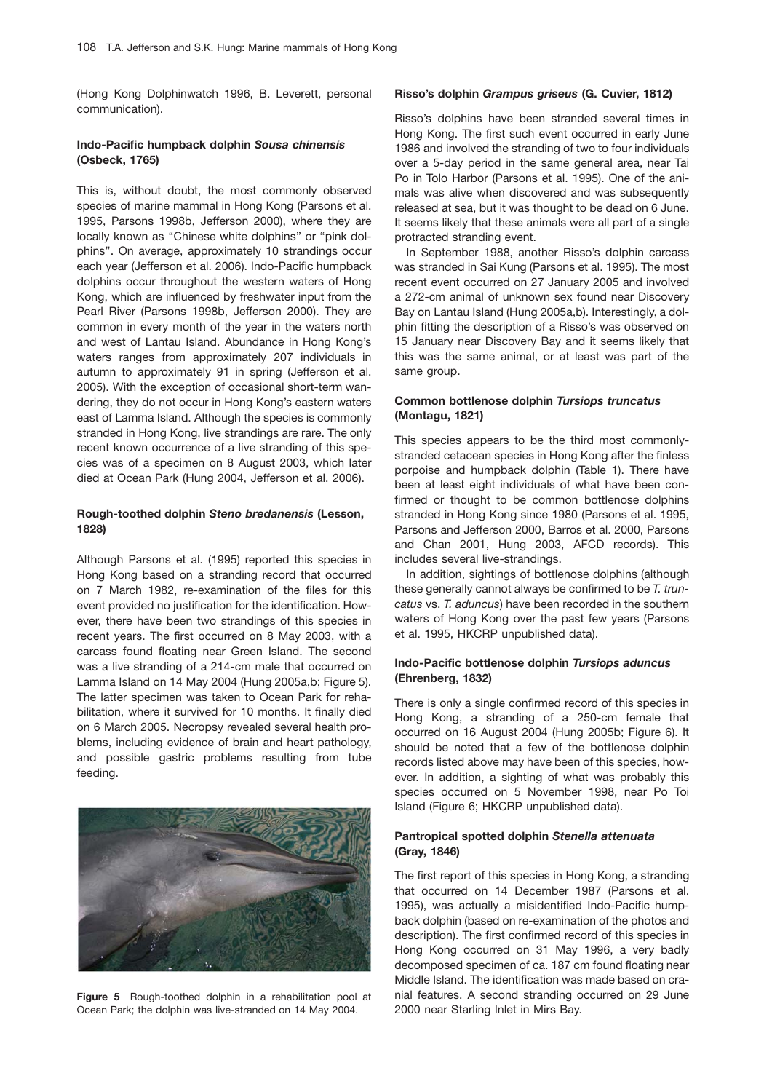(Hong Kong Dolphinwatch 1996, B. Leverett, personal communication).

# **Indo-Pacific humpback dolphin** *Sousa chinensis* **(Osbeck, 1765)**

This is, without doubt, the most commonly observed species of marine mammal in Hong Kong (Parsons et al. 1995, Parsons 1998b, Jefferson 2000), where they are locally known as "Chinese white dolphins" or "pink dolphins''. On average, approximately 10 strandings occur each year (Jefferson et al. 2006). Indo-Pacific humpback dolphins occur throughout the western waters of Hong Kong, which are influenced by freshwater input from the Pearl River (Parsons 1998b, Jefferson 2000). They are common in every month of the year in the waters north and west of Lantau Island. Abundance in Hong Kong's waters ranges from approximately 207 individuals in autumn to approximately 91 in spring (Jefferson et al. 2005). With the exception of occasional short-term wandering, they do not occur in Hong Kong's eastern waters east of Lamma Island. Although the species is commonly stranded in Hong Kong, live strandings are rare. The only recent known occurrence of a live stranding of this species was of a specimen on 8 August 2003, which later died at Ocean Park (Hung 2004, Jefferson et al. 2006).

## **Rough-toothed dolphin** *Steno bredanensis* **(Lesson, 1828)**

Although Parsons et al. (1995) reported this species in Hong Kong based on a stranding record that occurred on 7 March 1982, re-examination of the files for this event provided no justification for the identification. However, there have been two strandings of this species in recent years. The first occurred on 8 May 2003, with a carcass found floating near Green Island. The second was a live stranding of a 214-cm male that occurred on Lamma Island on 14 May 2004 (Hung 2005a,b; Figure 5). The latter specimen was taken to Ocean Park for rehabilitation, where it survived for 10 months. It finally died on 6 March 2005. Necropsy revealed several health problems, including evidence of brain and heart pathology, and possible gastric problems resulting from tube feeding.



**Figure 5** Rough-toothed dolphin in a rehabilitation pool at Ocean Park; the dolphin was live-stranded on 14 May 2004.

# **Risso's dolphin** *Grampus griseus* **(G. Cuvier, 1812)**

Risso's dolphins have been stranded several times in Hong Kong. The first such event occurred in early June 1986 and involved the stranding of two to four individuals over a 5-day period in the same general area, near Tai Po in Tolo Harbor (Parsons et al. 1995). One of the animals was alive when discovered and was subsequently released at sea, but it was thought to be dead on 6 June. It seems likely that these animals were all part of a single protracted stranding event.

In September 1988, another Risso's dolphin carcass was stranded in Sai Kung (Parsons et al. 1995). The most recent event occurred on 27 January 2005 and involved a 272-cm animal of unknown sex found near Discovery Bay on Lantau Island (Hung 2005a,b). Interestingly, a dolphin fitting the description of a Risso's was observed on 15 January near Discovery Bay and it seems likely that this was the same animal, or at least was part of the same group.

## **Common bottlenose dolphin** *Tursiops truncatus* **(Montagu, 1821)**

This species appears to be the third most commonlystranded cetacean species in Hong Kong after the finless porpoise and humpback dolphin (Table 1). There have been at least eight individuals of what have been confirmed or thought to be common bottlenose dolphins stranded in Hong Kong since 1980 (Parsons et al. 1995, Parsons and Jefferson 2000, Barros et al. 2000, Parsons and Chan 2001, Hung 2003, AFCD records). This includes several live-strandings.

In addition, sightings of bottlenose dolphins (although these generally cannot always be confirmed to be *T. truncatus* vs. *T. aduncus*) have been recorded in the southern waters of Hong Kong over the past few years (Parsons et al. 1995, HKCRP unpublished data).

# **Indo-Pacific bottlenose dolphin** *Tursiops aduncus* **(Ehrenberg, 1832)**

There is only a single confirmed record of this species in Hong Kong, a stranding of a 250-cm female that occurred on 16 August 2004 (Hung 2005b; Figure 6). It should be noted that a few of the bottlenose dolphin records listed above may have been of this species, however. In addition, a sighting of what was probably this species occurred on 5 November 1998, near Po Toi Island (Figure 6; HKCRP unpublished data).

# **Pantropical spotted dolphin** *Stenella attenuata* **(Gray, 1846)**

The first report of this species in Hong Kong, a stranding that occurred on 14 December 1987 (Parsons et al. 1995), was actually a misidentified Indo-Pacific humpback dolphin (based on re-examination of the photos and description). The first confirmed record of this species in Hong Kong occurred on 31 May 1996, a very badly decomposed specimen of ca. 187 cm found floating near Middle Island. The identification was made based on cranial features. A second stranding occurred on 29 June 2000 near Starling Inlet in Mirs Bay.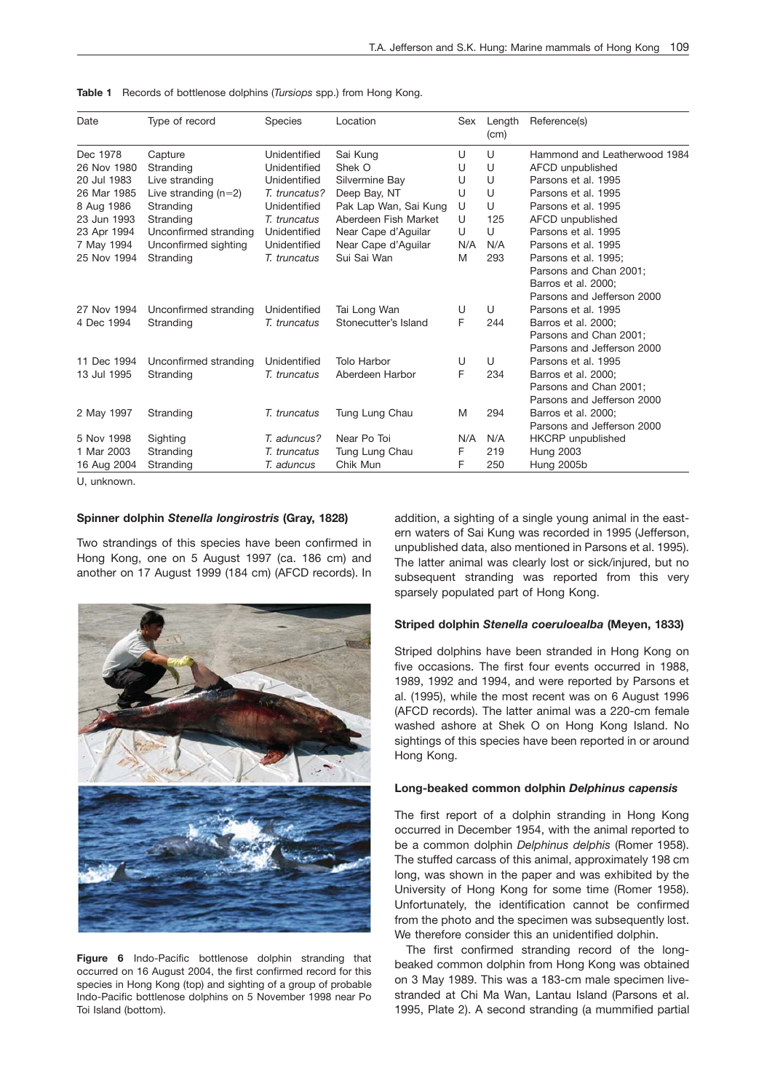|  | Table 1 Records of bottlenose dolphins (Tursiops spp.) from Hong Kong. |  |  |  |
|--|------------------------------------------------------------------------|--|--|--|
|  |                                                                        |  |  |  |

| Date        | Type of record         | <b>Species</b> | Location              | Sex | Length<br>(cm) | Reference(s)                 |
|-------------|------------------------|----------------|-----------------------|-----|----------------|------------------------------|
| Dec 1978    | Capture                | Unidentified   | Sai Kung              | U   | U              | Hammond and Leatherwood 1984 |
| 26 Nov 1980 | Stranding              | Unidentified   | Shek O                | U   | U              | AFCD unpublished             |
| 20 Jul 1983 | Live stranding         | Unidentified   | Silvermine Bay        | U   | U              | Parsons et al. 1995          |
| 26 Mar 1985 | Live stranding $(n=2)$ | T. truncatus?  | Deep Bay, NT          | U   | U              | Parsons et al. 1995          |
| 8 Aug 1986  | Stranding              | Unidentified   | Pak Lap Wan, Sai Kung | U   | U              | Parsons et al. 1995          |
| 23 Jun 1993 | Stranding              | T. truncatus   | Aberdeen Fish Market  | U   | 125            | AFCD unpublished             |
| 23 Apr 1994 | Unconfirmed stranding  | Unidentified   | Near Cape d'Aguilar   | U   | U              | Parsons et al. 1995          |
| 7 May 1994  | Unconfirmed sighting   | Unidentified   | Near Cape d'Aguilar   | N/A | N/A            | Parsons et al. 1995          |
| 25 Nov 1994 | Stranding              | T. truncatus   | Sui Sai Wan           | M   | 293            | Parsons et al. 1995;         |
|             |                        |                |                       |     |                | Parsons and Chan 2001:       |
|             |                        |                |                       |     |                | Barros et al. 2000;          |
|             |                        |                |                       |     |                | Parsons and Jefferson 2000   |
| 27 Nov 1994 | Unconfirmed stranding  | Unidentified   | Tai Long Wan          | U   | U              | Parsons et al. 1995          |
| 4 Dec 1994  | Stranding              | T. truncatus   | Stonecutter's Island  | F   | 244            | Barros et al. 2000:          |
|             |                        |                |                       |     |                | Parsons and Chan 2001;       |
|             |                        |                |                       |     |                | Parsons and Jefferson 2000   |
| 11 Dec 1994 | Unconfirmed stranding  | Unidentified   | Tolo Harbor           | U   | U              | Parsons et al. 1995          |
| 13 Jul 1995 | Stranding              | T. truncatus   | Aberdeen Harbor       | F   | 234            | Barros et al. 2000;          |
|             |                        |                |                       |     |                | Parsons and Chan 2001:       |
|             |                        |                |                       |     |                | Parsons and Jefferson 2000   |
| 2 May 1997  | Stranding              | T. truncatus   | Tung Lung Chau        | M   | 294            | Barros et al. 2000;          |
|             |                        |                |                       |     |                | Parsons and Jefferson 2000   |
| 5 Nov 1998  | Sighting               | T. aduncus?    | Near Po Toi           | N/A | N/A            | <b>HKCRP</b> unpublished     |
| 1 Mar 2003  | Stranding              | T. truncatus   | Tung Lung Chau        | F   | 219            | <b>Hung 2003</b>             |
| 16 Aug 2004 | Stranding              | T. aduncus     | Chik Mun              | F   | 250            | <b>Hung 2005b</b>            |
|             |                        |                |                       |     |                |                              |

U, unknown.

# **Spinner dolphin** *Stenella longirostris* **(Gray, 1828)**

Two strandings of this species have been confirmed in Hong Kong, one on 5 August 1997 (ca. 186 cm) and another on 17 August 1999 (184 cm) (AFCD records). In



**Figure 6** Indo-Pacific bottlenose dolphin stranding that occurred on 16 August 2004, the first confirmed record for this species in Hong Kong (top) and sighting of a group of probable Indo-Pacific bottlenose dolphins on 5 November 1998 near Po Toi Island (bottom).

addition, a sighting of a single young animal in the eastern waters of Sai Kung was recorded in 1995 (Jefferson, unpublished data, also mentioned in Parsons et al. 1995). The latter animal was clearly lost or sick/injured, but no subsequent stranding was reported from this very sparsely populated part of Hong Kong.

#### **Striped dolphin** *Stenella coeruloealba* **(Meyen, 1833)**

Striped dolphins have been stranded in Hong Kong on five occasions. The first four events occurred in 1988, 1989, 1992 and 1994, and were reported by Parsons et al. (1995), while the most recent was on 6 August 1996 (AFCD records). The latter animal was a 220-cm female washed ashore at Shek O on Hong Kong Island. No sightings of this species have been reported in or around Hong Kong.

#### **Long-beaked common dolphin** *Delphinus capensis*

The first report of a dolphin stranding in Hong Kong occurred in December 1954, with the animal reported to be a common dolphin *Delphinus delphis* (Romer 1958). The stuffed carcass of this animal, approximately 198 cm long, was shown in the paper and was exhibited by the University of Hong Kong for some time (Romer 1958). Unfortunately, the identification cannot be confirmed from the photo and the specimen was subsequently lost. We therefore consider this an unidentified dolphin.

The first confirmed stranding record of the longbeaked common dolphin from Hong Kong was obtained on 3 May 1989. This was a 183-cm male specimen livestranded at Chi Ma Wan, Lantau Island (Parsons et al. 1995, Plate 2). A second stranding (a mummified partial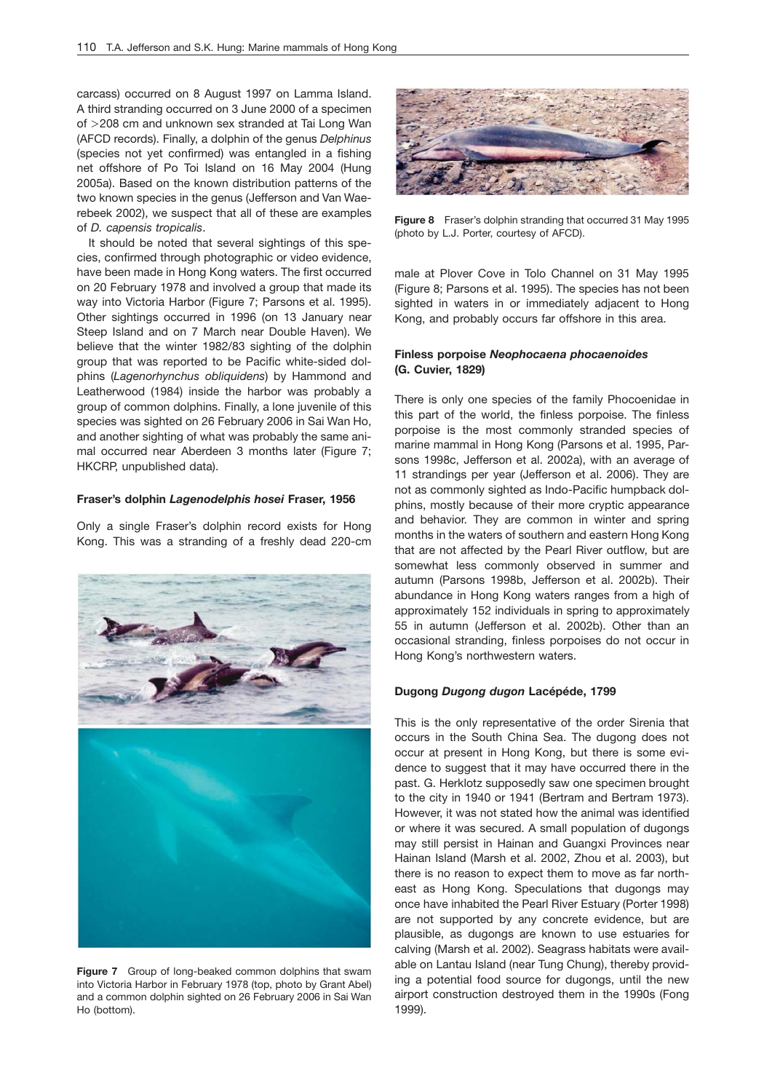carcass) occurred on 8 August 1997 on Lamma Island. A third stranding occurred on 3 June 2000 of a specimen of )208 cm and unknown sex stranded at Tai Long Wan (AFCD records). Finally, a dolphin of the genus *Delphinus* (species not yet confirmed) was entangled in a fishing net offshore of Po Toi Island on 16 May 2004 (Hung 2005a). Based on the known distribution patterns of the two known species in the genus (Jefferson and Van Waerebeek 2002), we suspect that all of these are examples of *D. capensis tropicalis*.

It should be noted that several sightings of this species, confirmed through photographic or video evidence, have been made in Hong Kong waters. The first occurred on 20 February 1978 and involved a group that made its way into Victoria Harbor (Figure 7; Parsons et al. 1995). Other sightings occurred in 1996 (on 13 January near Steep Island and on 7 March near Double Haven). We believe that the winter 1982/83 sighting of the dolphin group that was reported to be Pacific white-sided dolphins (*Lagenorhynchus obliquidens*) by Hammond and Leatherwood (1984) inside the harbor was probably a group of common dolphins. Finally, a lone juvenile of this species was sighted on 26 February 2006 in Sai Wan Ho, and another sighting of what was probably the same animal occurred near Aberdeen 3 months later (Figure 7; HKCRP, unpublished data).

#### **Fraser's dolphin** *Lagenodelphis hosei* **Fraser, 1956**

Only a single Fraser's dolphin record exists for Hong Kong. This was a stranding of a freshly dead 220-cm



**Figure 7** Group of long-beaked common dolphins that swam into Victoria Harbor in February 1978 (top, photo by Grant Abel) and a common dolphin sighted on 26 February 2006 in Sai Wan Ho (bottom).



**Figure 8** Fraser's dolphin stranding that occurred 31 May 1995 (photo by L.J. Porter, courtesy of AFCD).

male at Plover Cove in Tolo Channel on 31 May 1995 (Figure 8; Parsons et al. 1995). The species has not been sighted in waters in or immediately adjacent to Hong Kong, and probably occurs far offshore in this area.

# **Finless porpoise** *Neophocaena phocaenoides* **(G. Cuvier, 1829)**

There is only one species of the family Phocoenidae in this part of the world, the finless porpoise. The finless porpoise is the most commonly stranded species of marine mammal in Hong Kong (Parsons et al. 1995, Parsons 1998c, Jefferson et al. 2002a), with an average of 11 strandings per year (Jefferson et al. 2006). They are not as commonly sighted as Indo-Pacific humpback dolphins, mostly because of their more cryptic appearance and behavior. They are common in winter and spring months in the waters of southern and eastern Hong Kong that are not affected by the Pearl River outflow, but are somewhat less commonly observed in summer and autumn (Parsons 1998b, Jefferson et al. 2002b). Their abundance in Hong Kong waters ranges from a high of approximately 152 individuals in spring to approximately 55 in autumn (Jefferson et al. 2002b). Other than an occasional stranding, finless porpoises do not occur in Hong Kong's northwestern waters.

#### **Dugong Dugong dugon Lacépéde, 1799**

This is the only representative of the order Sirenia that occurs in the South China Sea. The dugong does not occur at present in Hong Kong, but there is some evidence to suggest that it may have occurred there in the past. G. Herklotz supposedly saw one specimen brought to the city in 1940 or 1941 (Bertram and Bertram 1973). However, it was not stated how the animal was identified or where it was secured. A small population of dugongs may still persist in Hainan and Guangxi Provinces near Hainan Island (Marsh et al. 2002, Zhou et al. 2003), but there is no reason to expect them to move as far northeast as Hong Kong. Speculations that dugongs may once have inhabited the Pearl River Estuary (Porter 1998) are not supported by any concrete evidence, but are plausible, as dugongs are known to use estuaries for calving (Marsh et al. 2002). Seagrass habitats were available on Lantau Island (near Tung Chung), thereby providing a potential food source for dugongs, until the new airport construction destroyed them in the 1990s (Fong 1999).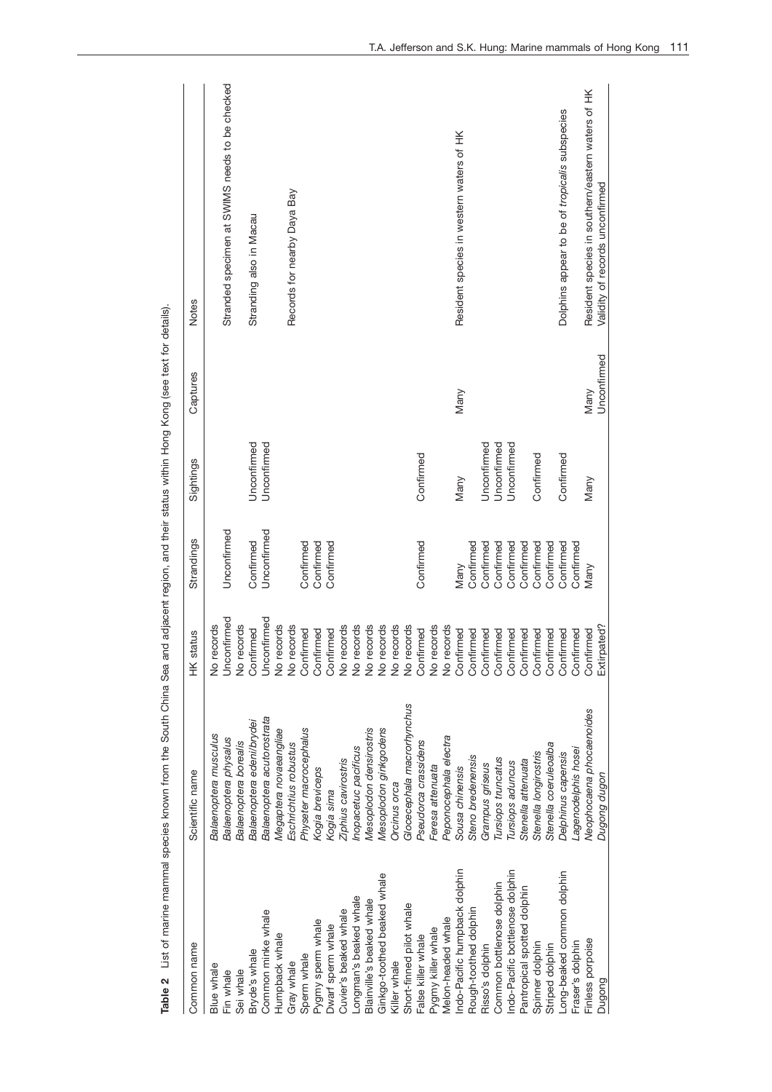| Common name                     | Scientific name            | status<br>¥                        | Strandings  | Sightings   | Captures    | Notes                                             |
|---------------------------------|----------------------------|------------------------------------|-------------|-------------|-------------|---------------------------------------------------|
| Blue whale                      | Balaenoptera musculus      | records<br>ہ<br>S                  |             |             |             |                                                   |
| Fin whale                       | Balaenoptera physalus      | Unconfirmed                        | Unconfirmed |             |             | Stranded specimen at SWIMS needs to be checked    |
| Sei whale                       | Balaenoptera borealis      | records<br>$\frac{1}{2}$           |             |             |             |                                                   |
| Bryde's whale                   | Balaenoptera edeni/brydei  | Confirmed                          | Confirmed   | Unconfirmed |             | Stranding also in Macau                           |
| Common minke whale              | Balaenoptera acutorostrata | Unconfirmed                        | Unconfirmed | Unconfirmed |             |                                                   |
| Humpback whale                  | Megaptera novaeangliae     | records<br>$\frac{1}{2}$           |             |             |             |                                                   |
| Gray whale                      | Eschrichtius robustus      | records<br>$\frac{1}{2}$           |             |             |             | Records for nearby Daya Bay                       |
| Sperm whale                     | Physeter macrocephalus     | Confirmed                          | Confirmed   |             |             |                                                   |
| Pygmy sperm whale               | Kogia breviceps            | Confirmed                          | Confirmed   |             |             |                                                   |
| Dwarf sperm whale               | Kogia sima                 | Confirmed                          | Confirmed   |             |             |                                                   |
| Cuvier's beaked whale           | Ziphius cavirostris        | records<br>$\overline{5}$          |             |             |             |                                                   |
| Longman's beaked whale          | Inopacetuc pacificus       | records<br>$\overline{5}$          |             |             |             |                                                   |
| Blainville's beaked whale       | Mesoplodon densirostris    | records<br>$\overline{5}$          |             |             |             |                                                   |
| Ginkgo-toothed beaked whale     | Mesoplodon ginkgodens      | records<br>$\overline{2}$          |             |             |             |                                                   |
| Killer whale                    | Orcinus orca               | records<br>$\overline{2}$          |             |             |             |                                                   |
| Short-finned pilot whale        | Glocecephala macrorhynchus | records<br>No records<br>Confirmed |             |             |             |                                                   |
| False killer whale              | Pseudorca crassidens       |                                    | Confirmed   | Confirmed   |             |                                                   |
| Pygmy killer whale              | Feresa attenuata           | records<br>$\frac{1}{2}$           |             |             |             |                                                   |
| Melon-headed whale              | Peponocephala electra      | records<br>$\overline{5}$          |             |             |             |                                                   |
| ndo-Pacific humpback dolphin    | Sousa chinensis            | Confirmed                          | <b>Many</b> | Many        | Many        | Resident species in western waters of HK          |
| Rough-toothed dolphin           | Steno bredenensis          | Confirmed                          | Confirmed   |             |             |                                                   |
| Risso's dolphin                 | Grampus griseus            | Confirmed                          | Confirmed   | Jnconfirmed |             |                                                   |
| Common bottlenose dolphin       | Tursiops truncatus         | Confirmed                          | Confirmed   | Unconfirmed |             |                                                   |
| Indo-Pacific bottlenose dolphin | Tursiops aduncus           | Confirmed                          | Confirmed   | Unconfirmed |             |                                                   |
| Pantropical spotted dolphin     | Stenella attenuata         | Confirmed                          | Confirmed   |             |             |                                                   |
| Spinner dolphin                 | Stenella longirostris      | Confirmed                          | Confirmed   | Confirmed   |             |                                                   |
| Striped dolphin                 | Stenella coeruleoalba      | Confirmed                          | Confirmed   |             |             |                                                   |
| Long-beaked common dolphin      | Delphinus capensis         | Confirmed                          | Confirmed   | Confirmed   |             | Dolphins appear to be of tropicalis subspecies    |
| Fraser's dolphin                | Lagenodelphis hosei        | Confirmed                          | Confirmed   |             |             |                                                   |
| Finless porpoise                | Neophocaena phocaenoides   | Confirmed                          | Many        | Many        | Many        | Resident species in southern/eastern waters of HK |
| Dugong                          | Dugong dugon               | Extirpated?                        |             |             | Unconfirmed | Validity of records unconfirmed                   |

Table 2 List of marine mammal species known from the South China Sea and adjacent region, and their status within Hong Kong (see text for details). **Table 2** List of marine mammal species known from the South China Sea and adjacent region, and their status within Hong Kong (see text for details).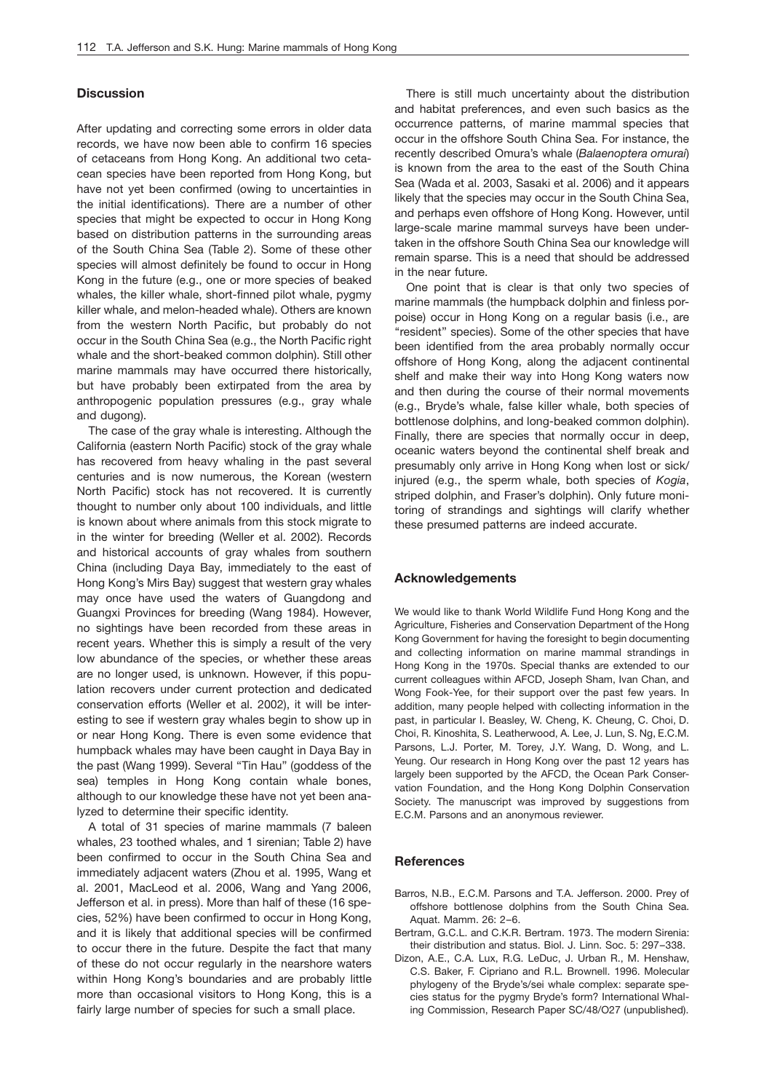# **Discussion**

After updating and correcting some errors in older data records, we have now been able to confirm 16 species of cetaceans from Hong Kong. An additional two cetacean species have been reported from Hong Kong, but have not yet been confirmed (owing to uncertainties in the initial identifications). There are a number of other species that might be expected to occur in Hong Kong based on distribution patterns in the surrounding areas of the South China Sea (Table 2). Some of these other species will almost definitely be found to occur in Hong Kong in the future (e.g., one or more species of beaked whales, the killer whale, short-finned pilot whale, pygmy killer whale, and melon-headed whale). Others are known from the western North Pacific, but probably do not occur in the South China Sea (e.g., the North Pacific right whale and the short-beaked common dolphin). Still other marine mammals may have occurred there historically, but have probably been extirpated from the area by anthropogenic population pressures (e.g., gray whale and dugong).

The case of the gray whale is interesting. Although the California (eastern North Pacific) stock of the gray whale has recovered from heavy whaling in the past several centuries and is now numerous, the Korean (western North Pacific) stock has not recovered. It is currently thought to number only about 100 individuals, and little is known about where animals from this stock migrate to in the winter for breeding (Weller et al. 2002). Records and historical accounts of gray whales from southern China (including Daya Bay, immediately to the east of Hong Kong's Mirs Bay) suggest that western gray whales may once have used the waters of Guangdong and Guangxi Provinces for breeding (Wang 1984). However, no sightings have been recorded from these areas in recent years. Whether this is simply a result of the very low abundance of the species, or whether these areas are no longer used, is unknown. However, if this population recovers under current protection and dedicated conservation efforts (Weller et al. 2002), it will be interesting to see if western gray whales begin to show up in or near Hong Kong. There is even some evidence that humpback whales may have been caught in Daya Bay in the past (Wang 1999). Several "Tin Hau" (goddess of the sea) temples in Hong Kong contain whale bones, although to our knowledge these have not yet been analyzed to determine their specific identity.

A total of 31 species of marine mammals (7 baleen whales, 23 toothed whales, and 1 sirenian; Table 2) have been confirmed to occur in the South China Sea and immediately adjacent waters (Zhou et al. 1995, Wang et al. 2001, MacLeod et al. 2006, Wang and Yang 2006, Jefferson et al. in press). More than half of these (16 species, 52%) have been confirmed to occur in Hong Kong, and it is likely that additional species will be confirmed to occur there in the future. Despite the fact that many of these do not occur regularly in the nearshore waters within Hong Kong's boundaries and are probably little more than occasional visitors to Hong Kong, this is a fairly large number of species for such a small place.

There is still much uncertainty about the distribution and habitat preferences, and even such basics as the occurrence patterns, of marine mammal species that occur in the offshore South China Sea. For instance, the recently described Omura's whale (*Balaenoptera omurai*) is known from the area to the east of the South China Sea (Wada et al. 2003, Sasaki et al. 2006) and it appears likely that the species may occur in the South China Sea, and perhaps even offshore of Hong Kong. However, until large-scale marine mammal surveys have been undertaken in the offshore South China Sea our knowledge will remain sparse. This is a need that should be addressed in the near future.

One point that is clear is that only two species of marine mammals (the humpback dolphin and finless porpoise) occur in Hong Kong on a regular basis (i.e., are "resident" species). Some of the other species that have been identified from the area probably normally occur offshore of Hong Kong, along the adjacent continental shelf and make their way into Hong Kong waters now and then during the course of their normal movements (e.g., Bryde's whale, false killer whale, both species of bottlenose dolphins, and long-beaked common dolphin). Finally, there are species that normally occur in deep, oceanic waters beyond the continental shelf break and presumably only arrive in Hong Kong when lost or sick/ injured (e.g., the sperm whale, both species of *Kogia*, striped dolphin, and Fraser's dolphin). Only future monitoring of strandings and sightings will clarify whether these presumed patterns are indeed accurate.

## **Acknowledgements**

We would like to thank World Wildlife Fund Hong Kong and the Agriculture, Fisheries and Conservation Department of the Hong Kong Government for having the foresight to begin documenting and collecting information on marine mammal strandings in Hong Kong in the 1970s. Special thanks are extended to our current colleagues within AFCD, Joseph Sham, Ivan Chan, and Wong Fook-Yee, for their support over the past few years. In addition, many people helped with collecting information in the past, in particular I. Beasley, W. Cheng, K. Cheung, C. Choi, D. Choi, R. Kinoshita, S. Leatherwood, A. Lee, J. Lun, S. Ng, E.C.M. Parsons, L.J. Porter, M. Torey, J.Y. Wang, D. Wong, and L. Yeung. Our research in Hong Kong over the past 12 years has largely been supported by the AFCD, the Ocean Park Conservation Foundation, and the Hong Kong Dolphin Conservation Society. The manuscript was improved by suggestions from E.C.M. Parsons and an anonymous reviewer.

#### **References**

- Barros, N.B., E.C.M. Parsons and T.A. Jefferson. 2000. Prey of offshore bottlenose dolphins from the South China Sea. Aquat. Mamm. 26: 2–6.
- Bertram, G.C.L. and C.K.R. Bertram. 1973. The modern Sirenia: their distribution and status. Biol. J. Linn. Soc. 5: 297–338.
- Dizon, A.E., C.A. Lux, R.G. LeDuc, J. Urban R., M. Henshaw, C.S. Baker, F. Cipriano and R.L. Brownell. 1996. Molecular phylogeny of the Bryde's/sei whale complex: separate species status for the pygmy Bryde's form? International Whaling Commission, Research Paper SC/48/O27 (unpublished).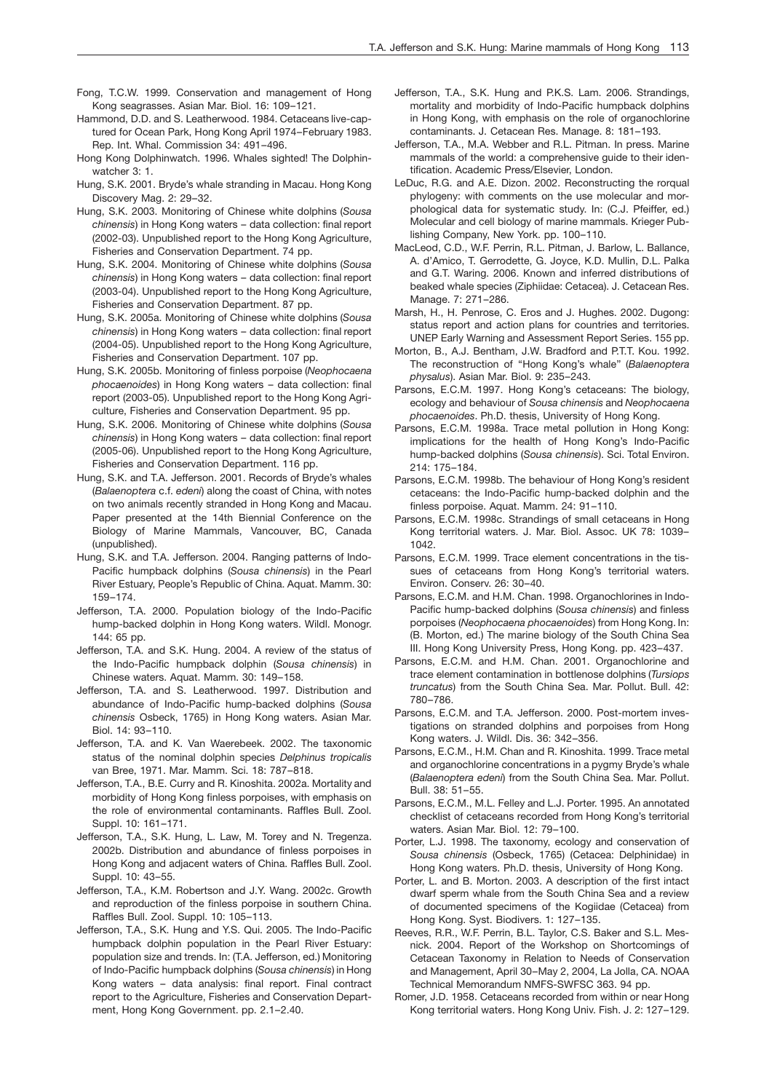- Fong, T.C.W. 1999. Conservation and management of Hong Kong seagrasses. Asian Mar. Biol. 16: 109–121.
- Hammond, D.D. and S. Leatherwood. 1984. Cetaceans live-captured for Ocean Park, Hong Kong April 1974–February 1983. Rep. Int. Whal. Commission 34: 491–496.
- Hong Kong Dolphinwatch. 1996. Whales sighted! The Dolphinwatcher 3: 1.
- Hung, S.K. 2001. Bryde's whale stranding in Macau. Hong Kong Discovery Mag. 2: 29–32.
- Hung, S.K. 2003. Monitoring of Chinese white dolphins (*Sousa chinensis*) in Hong Kong waters – data collection: final report (2002-03). Unpublished report to the Hong Kong Agriculture, Fisheries and Conservation Department. 74 pp.
- Hung, S.K. 2004. Monitoring of Chinese white dolphins (*Sousa chinensis*) in Hong Kong waters – data collection: final report (2003-04). Unpublished report to the Hong Kong Agriculture, Fisheries and Conservation Department. 87 pp.
- Hung, S.K. 2005a. Monitoring of Chinese white dolphins (*Sousa chinensis*) in Hong Kong waters – data collection: final report (2004-05). Unpublished report to the Hong Kong Agriculture, Fisheries and Conservation Department. 107 pp.
- Hung, S.K. 2005b. Monitoring of finless porpoise (*Neophocaena phocaenoides*) in Hong Kong waters – data collection: final report (2003-05). Unpublished report to the Hong Kong Agriculture, Fisheries and Conservation Department. 95 pp.
- Hung, S.K. 2006. Monitoring of Chinese white dolphins (*Sousa chinensis*) in Hong Kong waters – data collection: final report (2005-06). Unpublished report to the Hong Kong Agriculture, Fisheries and Conservation Department. 116 pp.
- Hung, S.K. and T.A. Jefferson. 2001. Records of Bryde's whales (*Balaenoptera* c.f. *edeni*) along the coast of China, with notes on two animals recently stranded in Hong Kong and Macau. Paper presented at the 14th Biennial Conference on the Biology of Marine Mammals, Vancouver, BC, Canada (unpublished).
- Hung, S.K. and T.A. Jefferson. 2004. Ranging patterns of Indo-Pacific humpback dolphins (*Sousa chinensis*) in the Pearl River Estuary, People's Republic of China. Aquat. Mamm. 30: 159–174.
- Jefferson, T.A. 2000. Population biology of the Indo-Pacific hump-backed dolphin in Hong Kong waters. Wildl. Monogr. 144: 65 pp.
- Jefferson, T.A. and S.K. Hung. 2004. A review of the status of the Indo-Pacific humpback dolphin (*Sousa chinensis*) in Chinese waters. Aquat. Mamm. 30: 149–158.
- Jefferson, T.A. and S. Leatherwood. 1997. Distribution and abundance of Indo-Pacific hump-backed dolphins (*Sousa chinensis* Osbeck, 1765) in Hong Kong waters. Asian Mar. Biol. 14: 93–110.
- Jefferson, T.A. and K. Van Waerebeek. 2002. The taxonomic status of the nominal dolphin species *Delphinus tropicalis* van Bree, 1971. Mar. Mamm. Sci. 18: 787–818.
- Jefferson, T.A., B.E. Curry and R. Kinoshita. 2002a. Mortality and morbidity of Hong Kong finless porpoises, with emphasis on the role of environmental contaminants. Raffles Bull. Zool. Suppl. 10: 161–171.
- Jefferson, T.A., S.K. Hung, L. Law, M. Torey and N. Tregenza. 2002b. Distribution and abundance of finless porpoises in Hong Kong and adjacent waters of China. Raffles Bull. Zool. Suppl. 10: 43–55.
- Jefferson, T.A., K.M. Robertson and J.Y. Wang. 2002c. Growth and reproduction of the finless porpoise in southern China. Raffles Bull. Zool. Suppl. 10: 105–113.
- Jefferson, T.A., S.K. Hung and Y.S. Qui. 2005. The Indo-Pacific humpback dolphin population in the Pearl River Estuary: population size and trends. In: (T.A. Jefferson, ed.) Monitoring of Indo-Pacific humpback dolphins (*Sousa chinensis*) in Hong Kong waters – data analysis: final report. Final contract report to the Agriculture, Fisheries and Conservation Department, Hong Kong Government. pp. 2.1–2.40.
- Jefferson, T.A., S.K. Hung and P.K.S. Lam. 2006. Strandings, mortality and morbidity of Indo-Pacific humpback dolphins in Hong Kong, with emphasis on the role of organochlorine contaminants. J. Cetacean Res. Manage. 8: 181–193.
- Jefferson, T.A., M.A. Webber and R.L. Pitman. In press. Marine mammals of the world: a comprehensive guide to their identification. Academic Press/Elsevier, London.
- LeDuc, R.G. and A.E. Dizon. 2002. Reconstructing the rorqual phylogeny: with comments on the use molecular and morphological data for systematic study. In: (C.J. Pfeiffer, ed.) Molecular and cell biology of marine mammals. Krieger Publishing Company, New York. pp. 100–110.
- MacLeod, C.D., W.F. Perrin, R.L. Pitman, J. Barlow, L. Ballance, A. d'Amico, T. Gerrodette, G. Joyce, K.D. Mullin, D.L. Palka and G.T. Waring. 2006. Known and inferred distributions of beaked whale species (Ziphiidae: Cetacea). J. Cetacean Res. Manage. 7: 271–286.
- Marsh, H., H. Penrose, C. Eros and J. Hughes. 2002. Dugong: status report and action plans for countries and territories. UNEP Early Warning and Assessment Report Series. 155 pp.
- Morton, B., A.J. Bentham, J.W. Bradford and P.T.T. Kou. 1992. The reconstruction of ''Hong Kong's whale'' (*Balaenoptera physalus*). Asian Mar. Biol. 9: 235–243.
- Parsons, E.C.M. 1997. Hong Kong's cetaceans: The biology, ecology and behaviour of *Sousa chinensis* and *Neophocaena phocaenoides*. Ph.D. thesis, University of Hong Kong.
- Parsons, E.C.M. 1998a. Trace metal pollution in Hong Kong: implications for the health of Hong Kong's Indo-Pacific hump-backed dolphins (*Sousa chinensis*). Sci. Total Environ. 214: 175–184.
- Parsons, E.C.M. 1998b. The behaviour of Hong Kong's resident cetaceans: the Indo-Pacific hump-backed dolphin and the finless porpoise. Aquat. Mamm. 24: 91–110.
- Parsons, E.C.M. 1998c. Strandings of small cetaceans in Hong Kong territorial waters. J. Mar. Biol. Assoc. UK 78: 1039– 1042.
- Parsons, E.C.M. 1999. Trace element concentrations in the tissues of cetaceans from Hong Kong's territorial waters. Environ. Conserv. 26: 30–40.
- Parsons, E.C.M. and H.M. Chan. 1998. Organochlorines in Indo-Pacific hump-backed dolphins (*Sousa chinensis*) and finless porpoises (*Neophocaena phocaenoides*) from Hong Kong. In: (B. Morton, ed.) The marine biology of the South China Sea III. Hong Kong University Press, Hong Kong. pp. 423–437.
- Parsons, E.C.M. and H.M. Chan. 2001. Organochlorine and trace element contamination in bottlenose dolphins (*Tursiops truncatus*) from the South China Sea. Mar. Pollut. Bull. 42: 780–786.
- Parsons, E.C.M. and T.A. Jefferson. 2000. Post-mortem investigations on stranded dolphins and porpoises from Hong Kong waters. J. Wildl. Dis. 36: 342–356.
- Parsons, E.C.M., H.M. Chan and R. Kinoshita. 1999. Trace metal and organochlorine concentrations in a pygmy Bryde's whale (*Balaenoptera edeni*) from the South China Sea. Mar. Pollut. Bull. 38: 51–55.
- Parsons, E.C.M., M.L. Felley and L.J. Porter. 1995. An annotated checklist of cetaceans recorded from Hong Kong's territorial waters. Asian Mar. Biol. 12: 79–100.
- Porter, L.J. 1998. The taxonomy, ecology and conservation of *Sousa chinensis* (Osbeck, 1765) (Cetacea: Delphinidae) in Hong Kong waters. Ph.D. thesis, University of Hong Kong.
- Porter, L. and B. Morton. 2003. A description of the first intact dwarf sperm whale from the South China Sea and a review of documented specimens of the Kogiidae (Cetacea) from Hong Kong. Syst. Biodivers. 1: 127–135.
- Reeves, R.R., W.F. Perrin, B.L. Taylor, C.S. Baker and S.L. Mesnick. 2004. Report of the Workshop on Shortcomings of Cetacean Taxonomy in Relation to Needs of Conservation and Management, April 30–May 2, 2004, La Jolla, CA. NOAA Technical Memorandum NMFS-SWFSC 363. 94 pp.
- Romer, J.D. 1958. Cetaceans recorded from within or near Hong Kong territorial waters. Hong Kong Univ. Fish. J. 2: 127–129.